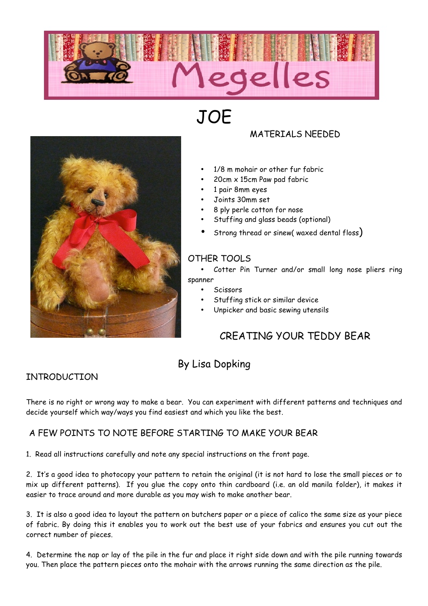

**JOE** 



# MATERIALS NEEDED

- 1/8 m mohair or other fur fabric
- 20cm x 15cm Paw pad fabric
- 1 pair 8mm eyes
- Joints 30mm set
- 8 ply perle cotton for nose
- Stuffing and glass beads (optional)
- Strong thread or sinew( waxed dental floss)

## OTHER TOOLS

- Cotter Pin Turner and/or small long nose pliers ring spanner
	- **Scissors**
	- Stuffing stick or similar device
	- Unpicker and basic sewing utensils

# CREATING YOUR TEDDY BEAR

# By Lisa Dopking

# INTRODUCTION

There is no right or wrong way to make a bear. You can experiment with different patterns and techniques and decide yourself which way/ways you find easiest and which you like the best.

#### A FEW POINTS TO NOTE BEFORE STARTING TO MAKE YOUR BEAR

1. Read all instructions carefully and note any special instructions on the front page.

2. It's a good idea to photocopy your pattern to retain the original (it is not hard to lose the small pieces or to mix up different patterns). If you glue the copy onto thin cardboard (i.e. an old manila folder), it makes it easier to trace around and more durable as you may wish to make another bear.

3. It is also a good idea to layout the pattern on butchers paper or a piece of calico the same size as your piece of fabric. By doing this it enables you to work out the best use of your fabrics and ensures you cut out the correct number of pieces.

4. Determine the nap or lay of the pile in the fur and place it right side down and with the pile running towards you. Then place the pattern pieces onto the mohair with the arrows running the same direction as the pile.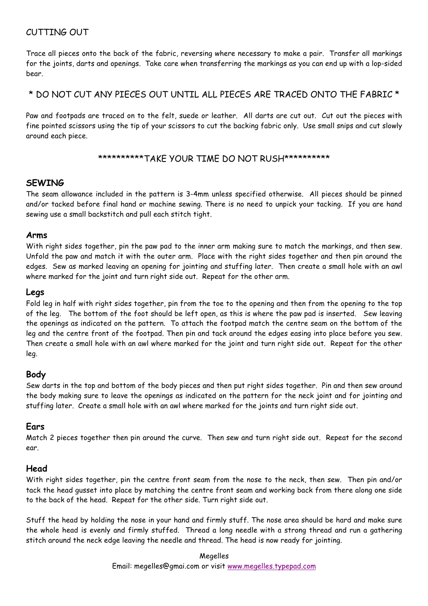### CUTTING OUT

Trace all pieces onto the back of the fabric, reversing where necessary to make a pair. Transfer all markings for the joints, darts and openings. Take care when transferring the markings as you can end up with a lop-sided bear.

#### \* DO NOT CUT ANY PIECES OUT UNTIL ALL PIECES ARE TRACED ONTO THE FABRIC \*

Paw and footpads are traced on to the felt, suede or leather. All darts are cut out. Cut out the pieces with fine pointed scissors using the tip of your scissors to cut the backing fabric only. Use small snips and cut slowly around each piece.

#### \*\*\*\*\*\*\*\*\*\*TAKE YOUR TIME DO NOT RUSH\*\*\*\*\*\*\*\*\*\*

#### **SEWING**

The seam allowance included in the pattern is 3-4mm unless specified otherwise. All pieces should be pinned and/or tacked before final hand or machine sewing. There is no need to unpick your tacking. If you are hand sewing use a small backstitch and pull each stitch tight.

#### **Arms**

With right sides together, pin the paw pad to the inner arm making sure to match the markings, and then sew. Unfold the paw and match it with the outer arm. Place with the right sides together and then pin around the edges. Sew as marked leaving an opening for jointing and stuffing later. Then create a small hole with an awl where marked for the joint and turn right side out. Repeat for the other arm.

#### **Legs**

Fold leg in half with right sides together, pin from the toe to the opening and then from the opening to the top of the leg. The bottom of the foot should be left open, as this is where the paw pad is inserted. Sew leaving the openings as indicated on the pattern. To attach the footpad match the centre seam on the bottom of the leg and the centre front of the footpad. Then pin and tack around the edges easing into place before you sew. Then create a small hole with an awl where marked for the joint and turn right side out. Repeat for the other leg.

#### **Body**

Sew darts in the top and bottom of the body pieces and then put right sides together. Pin and then sew around the body making sure to leave the openings as indicated on the pattern for the neck joint and for jointing and stuffing later. Create a small hole with an awl where marked for the joints and turn right side out.

#### **Ears**

Match 2 pieces together then pin around the curve. Then sew and turn right side out. Repeat for the second ear.

#### **Head**

With right sides together, pin the centre front seam from the nose to the neck, then sew. Then pin and/or tack the head gusset into place by matching the centre front seam and working back from there along one side to the back of the head. Repeat for the other side. Turn right side out.

Stuff the head by holding the nose in your hand and firmly stuff. The nose area should be hard and make sure the whole head is evenly and firmly stuffed. Thread a long needle with a strong thread and run a gathering stitch around the neck edge leaving the needle and thread. The head is now ready for jointing.

> Megelles Email: megelles@gmai.com or visit www.megelles.typepad.com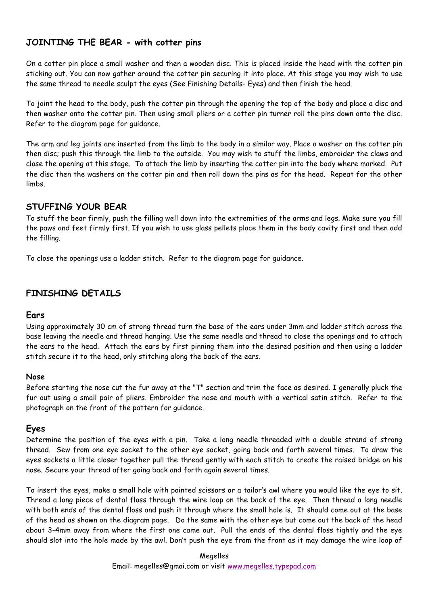#### **JOINTING THE BEAR - with cotter pins**

On a cotter pin place a small washer and then a wooden disc. This is placed inside the head with the cotter pin sticking out. You can now gather around the cotter pin securing it into place. At this stage you may wish to use the same thread to needle sculpt the eyes (See Finishing Details- Eyes) and then finish the head.

To joint the head to the body, push the cotter pin through the opening the top of the body and place a disc and then washer onto the cotter pin. Then using small pliers or a cotter pin turner roll the pins down onto the disc. Refer to the diagram page for guidance.

The arm and leg joints are inserted from the limb to the body in a similar way. Place a washer on the cotter pin then disc; push this through the limb to the outside. You may wish to stuff the limbs, embroider the claws and close the opening at this stage. To attach the limb by inserting the cotter pin into the body where marked. Put the disc then the washers on the cotter pin and then roll down the pins as for the head. Repeat for the other limbs.

#### **STUFFING YOUR BEAR**

To stuff the bear firmly, push the filling well down into the extremities of the arms and legs. Make sure you fill the paws and feet firmly first. If you wish to use glass pellets place them in the body cavity first and then add the filling.

To close the openings use a ladder stitch. Refer to the diagram page for guidance.

#### **FINISHING DETAILS**

#### **Ears**

Using approximately 30 cm of strong thread turn the base of the ears under 3mm and ladder stitch across the base leaving the needle and thread hanging. Use the same needle and thread to close the openings and to attach the ears to the head. Attach the ears by first pinning them into the desired position and then using a ladder stitch secure it to the head, only stitching along the back of the ears.

#### **Nose**

Before starting the nose cut the fur away at the "T" section and trim the face as desired. I generally pluck the fur out using a small pair of pliers. Embroider the nose and mouth with a vertical satin stitch. Refer to the photograph on the front of the pattern for guidance.

#### **Eyes**

Determine the position of the eyes with a pin. Take a long needle threaded with a double strand of strong thread. Sew from one eye socket to the other eye socket, going back and forth several times. To draw the eyes sockets a little closer together pull the thread gently with each stitch to create the raised bridge on his nose. Secure your thread after going back and forth again several times.

To insert the eyes, make a small hole with pointed scissors or a tailor's awl where you would like the eye to sit. Thread a long piece of dental floss through the wire loop on the back of the eye. Then thread a long needle with both ends of the dental floss and push it through where the small hole is. It should come out at the base of the head as shown on the diagram page. Do the same with the other eye but come out the back of the head about 3-4mm away from where the first one came out. Pull the ends of the dental floss tightly and the eye should slot into the hole made by the awl. Don't push the eye from the front as it may damage the wire loop of

> Megelles Email: megelles@gmai.com or visit www.megelles.typepad.com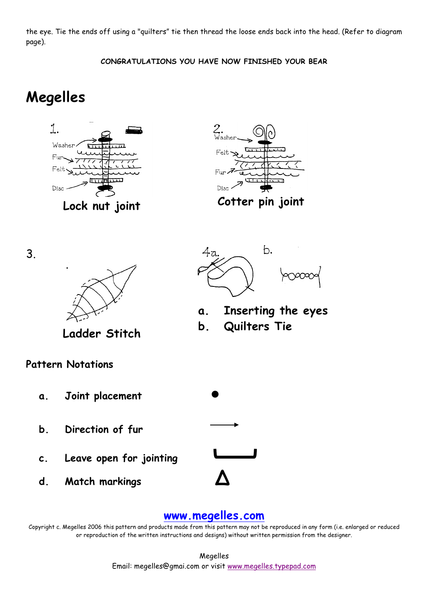the eye. Tie the ends off using a "quilters" tie then thread the loose ends back into the head. (Refer to diagram page).

**CONGRATULATIONS YOU HAVE NOW FINISHED YOUR BEAR**

# **Megelles**





3.



**Ladder Stitch**

**Pattern Notations**

- **a. Joint placement ●**
- **b. Direction of fur**
- **c. Leave open for jointing**
- **d. Match markings ∆**



 $b.$ 

**a. Inserting the eyes**

**b. Quilters Tie**

# **www.megelles.com**

Copyright c. Megelles 2006 this pattern and products made from this pattern may not be reproduced in any form (i.e. enlarged or reduced or reproduction of the written instructions and designs) without written permission from the designer.

> Megelles Email: megelles@gmai.com or visit www.megelles.typepad.com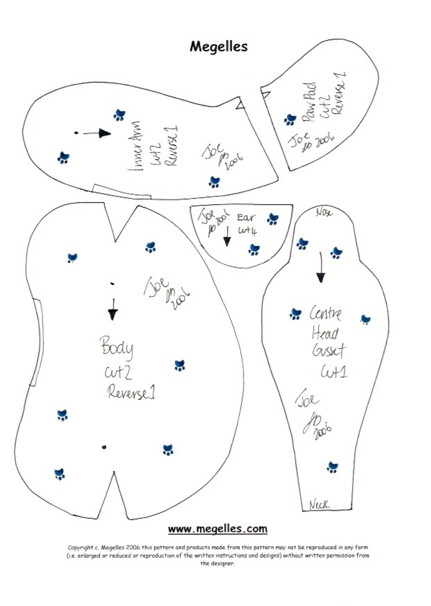

Copyright c. Megelles 2006 this pattern and products made from this pattern may not be reproduced in any form. (i.e. enlarged or reduced or reproduction of the written instructions and designs) without written permission from the designer.